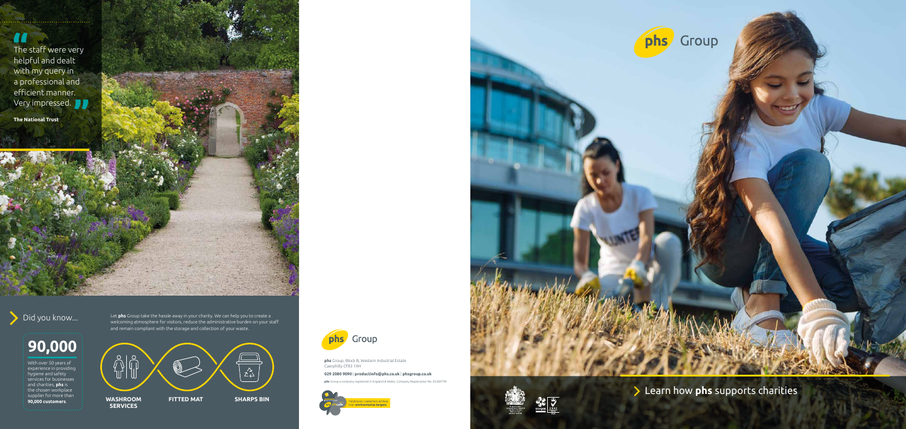Learn how **phs** supports charities

H The staff were very helpful and dealt with my query in  $\overline{\phantom{a}}$  a professional and efficient manner. Very impressed.

**The National Trust**



Group

# **90,000**

With over 50 years of experience in providing hygiene and safety services for businesses and charities, **phs** is the chosen workplace supplier for more than **90,000 customers**.

**Did** you know... Let **phs** Group take the hassle away in your charity. We can help you to create a **phrass** and the administrative burden on your st. welcoming atmosphere for visitors, reduce the administrative burden on your staff and remain compliant with the storage and collection of your waste.

**phs** Group a company registered in England & Wales. Company Registration No. 05384799







**phs** Group, Block B, Western Industrial Estate Caerphilly CF83 1XH

**029 2080 9090** | **productinfo@phs.co.uk** | **phsgroup.co.uk**